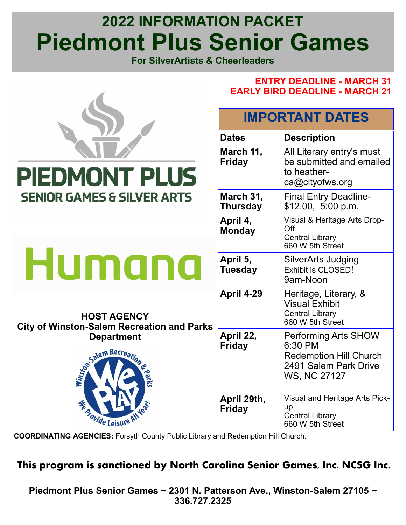# **2022 INFORMATION PACKET Piedmont Plus Senior Games**

**For SilverArtists & Cheerleaders**

**ENTRY DEADLINE - MARCH 31**



**COORDINATING AGENCIES:** Forsyth County Public Library and Redemption Hill Church.

# **This program is sanctioned by North Carolina Senior Games, Inc. NCSG Inc.**

**Piedmont Plus Senior Games ~ 2301 N. Patterson Ave., Winston-Salem 27105 ~ 336.727.2325**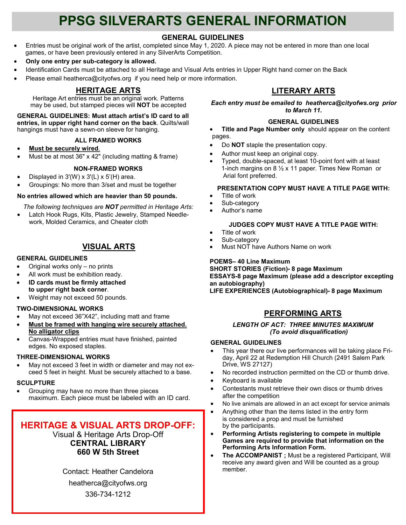# **PPSG SILVERARTS GENERAL INFORMATION**

### **GENERAL GUIDELINES**

- Entries must be original work of the artist, completed since May 1, 2020. A piece may not be entered in more than one local games, or have been previously entered in any SilverArts Competition.
- **Only one entry per sub-category is allowed.**
- Identification Cards must be attached to all Heritage and Visual Arts entries in Upper Right hand corner on the Back
- Please email heatherca@cityofws.org if you need help or more information.

# **HERITAGE ARTS**

Heritage Art entries must be an original work. Patterns may be used, but stamped pieces will **NOT** be accepted

**GENERAL GUIDELINES: Must attach artist's ID card to all entries, in upper right hand corner on the back**. Quilts/wall hangings must have a sewn-on sleeve for hanging.

#### **ALL FRAMED WORKS**

- **Must be securely wired**.
- $\overline{\text{Must}}$  be at most 36" x 42" (including matting & frame)

#### **NON-FRAMED WORKS**

- Displayed in  $3'(W) \times 3'(L) \times 5'(H)$  area.
- Groupings: No more than 3/set and must be together

#### **No entries allowed which are heavier than 50 pounds.**

- *The following techniques are NOT permitted in Heritage Arts:*
- Latch Hook Rugs, Kits, Plastic Jewelry, Stamped Needlework, Molded Ceramics, and Cheater cloth

### **VISUAL ARTS**

#### **GENERAL GUIDELINES**

- Original works only no prints
- All work must be exhibition ready.
- **ID cards must be firmly attached to upper right back corner**.
- Weight may not exceed 50 pounds.

#### **TWO-DIMENSIONAL WORKS**

- May not exceed 36"X42", including matt and frame
- **Must be framed with hanging wire securely attached. No alligator clips**
- Canvas-Wrapped entries must have finished, painted edges. No exposed staples.

#### **THREE-DIMENSIONAL WORKS**

May not exceed 3 feet in width or diameter and may not exceed 5 feet in height. Must be securely attached to a base.

#### **SCULPTURE**

• Grouping may have no more than three pieces maximum. Each piece must be labeled with an ID card.

# **HERITAGE & VISUAL ARTS DROP-OFF:**

Visual & Heritage Arts Drop-Off **CENTRAL LIBRARY 660 W 5th Street**

Contact: Heather Candelora heatherca@cityofws.org 336-734-1212

## **LITERARY ARTS**

*Each entry must be emailed to heatherca@cityofws.org prior to March 11.* 

#### **GENERAL GUIDELINES**

**Title and Page Number only** should appear on the content pages.

- Do **NOT** staple the presentation copy.
- Author must keep an original copy.
- Typed, double-spaced, at least 10-point font with at least 1-inch margins on 8 ½ x 11 paper. Times New Roman or Arial font preferred.

#### **PRESENTATION COPY MUST HAVE A TITLE PAGE WITH:**

- Title of work
- Sub-category
- Author's name

#### **JUDGES COPY MUST HAVE A TITLE PAGE WITH:**

- Title of work
- Sub-category
- Must NOT have Authors Name on work

#### **POEMS– 40 Line Maximum**

**SHORT STORIES (Fiction)- 8 page Maximum ESSAYS-8 page Maximum (please add a descriptor excepting an autobiography)**

**LIFE EXPERIENCES (Autobiographical)- 8 page Maximum**

## **PERFORMING ARTS**

#### *LENGTH OF ACT: THREE MINUTES MAXIMUM (To avoid disqualification)*

#### **GENERAL GUIDELINES**

- This year there our live performances will be taking place Friday, April 22 at Redemption Hill Church (2491 Salem Park Drive, WS 27127)
- No recorded instruction permitted on the CD or thumb drive.
- Keyboard is available

9

- Contestants must retrieve their own discs or thumb drives after the competition
- No live animals are allowed in an act except for service animals
- Anything other than the items listed in the entry form is considered a prop and must be furnished by the participants.
- **Performing Artists registering to compete in multiple Games are required to provide that information on the Performing Arts Information Form.**
- **The ACCOMPANIST ;** Must be a registered Participant, Will receive any award given and Will be counted as a group member.